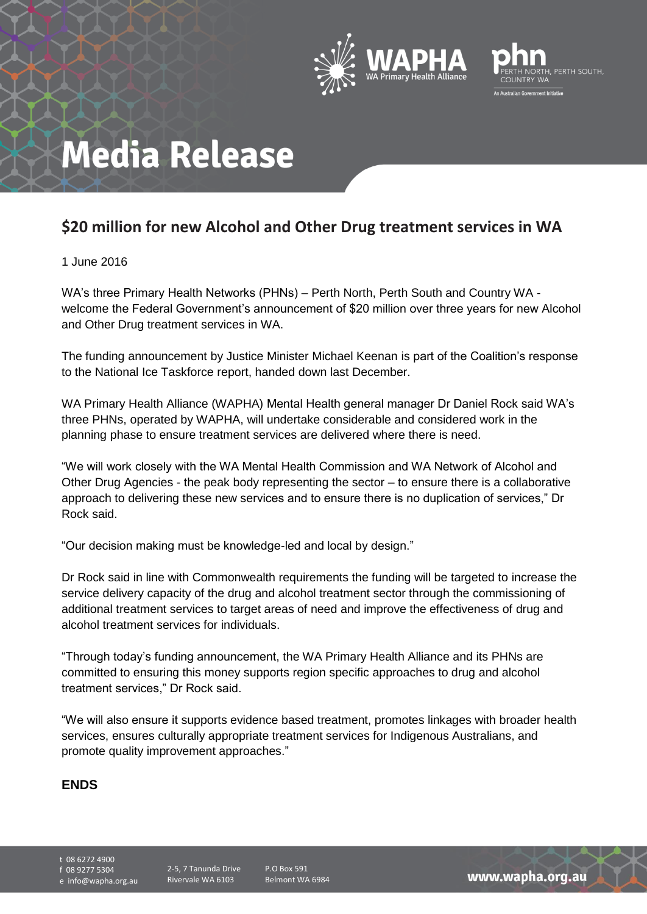



## **Media Release**

### **\$20 million for new Alcohol and Other Drug treatment services in WA**

#### 1 June 2016

WA's three Primary Health Networks (PHNs) – Perth North, Perth South and Country WA welcome the Federal Government's announcement of \$20 million over three years for new Alcohol and Other Drug treatment services in WA.

The funding announcement by Justice Minister Michael Keenan is part of the Coalition's response to the National Ice Taskforce report, handed down last December.

WA Primary Health Alliance (WAPHA) Mental Health general manager Dr Daniel Rock said WA's three PHNs, operated by WAPHA, will undertake considerable and considered work in the planning phase to ensure treatment services are delivered where there is need.

"We will work closely with the WA Mental Health Commission and WA Network of Alcohol and Other Drug Agencies - the peak body representing the sector – to ensure there is a collaborative approach to delivering these new services and to ensure there is no duplication of services," Dr Rock said.

"Our decision making must be knowledge-led and local by design."

Dr Rock said in line with Commonwealth requirements the funding will be targeted to increase the service delivery capacity of the drug and alcohol treatment sector through the commissioning of additional treatment services to target areas of need and improve the effectiveness of drug and alcohol treatment services for individuals.

"Through today's funding announcement, the WA Primary Health Alliance and its PHNs are committed to ensuring this money supports region specific approaches to drug and alcohol treatment services," Dr Rock said.

"We will also ensure it supports evidence based treatment, promotes linkages with broader health services, ensures culturally appropriate treatment services for Indigenous Australians, and promote quality improvement approaches."

#### **ENDS**

t 08 6272 4900 f 08 9277 5304

e info@wapha.org.au

P.O Box 591 Belmont WA 6984

www.wapha.org.au